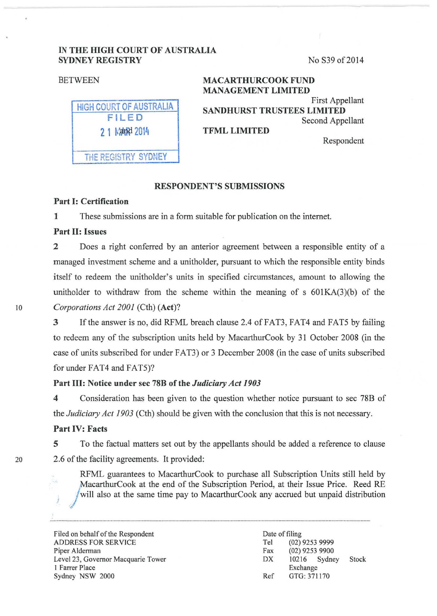## IN THE HIGH COURT OF AUSTRALIA SYDNEY REGISTRY No S39 of 2014

| BETWEEN                                                  | <b>MACARTHURCOOK FUND</b><br><b>MANAGEMENT LIMITED</b>                                          |
|----------------------------------------------------------|-------------------------------------------------------------------------------------------------|
| <b>HIGH COURT OF AUSTRALIA</b><br>FILED<br>2 1 Mand 2014 | First Appellant<br><b>SANDHURST TRUSTEES LIMITED</b><br>Second Appellant<br><b>TFML LIMITED</b> |
| THE REGISTRY SYDNEY                                      | Respondent                                                                                      |

## RESPONDENT'S SUBMISSIONS

## Part 1: Certification

1 These submissions are in a form suitable for publication on the internet.

### Part II: Issues

2 Does a right conferred by an anterior agreement between a responsible entity of a managed investment scheme and a unitholder, pursuant to which the responsible entity binds itself to redeem the unitholder's units in specified circumstances, amount to allowing the unitholder to withdraw from the scheme within the meaning of s  $601KA(3)(b)$  of the 10 *Corporations Act 2001* (Cth) (Act)?

> 3 Ifthe answer is no, did RFML breach clause 2.4 ofFAT3, FAT4 and FATS by failing to redeem any of the subscription units held by MacarthurCook by 31 October 2008 (in the case of units subscribed for under FAT3) or 3 December 2008 (in the case of units subscribed for under FAT4 and FATS)?

#### Part III: Notice under sec 78B of the *Judiciary Act 1903*

4 Consideration has been given to the question whether notice pursuant to sec 78B of the *Judiciary Act 1903* (Cth) should be given with the conclusion that this is not necessary.

#### Part IV: Facts

5 To the factual matters set out by the appellants should be added a reference to clause 20 2.6 of the facility agreements. It provided:

> RFML guarantees to MacarthurCook to purchase all Subscription Units still held by MacarthurCook at the end of the Subscription Period, at their Issue Price. Reed RE will also at the same time pay to MacarthurCook any accrued but unpaid distribution

Filed on behalf of the Respondent ADDRESS FOR SERVICE Piper Alderman Level23, Governor Macquarie Tower I Farrer Place Sydney NSW 2000

Date of filing Tel (02) 9253 9999 Fax (02) 9253 9900 DX 10216 Sydney Stock Exchange Ref GTG: 371170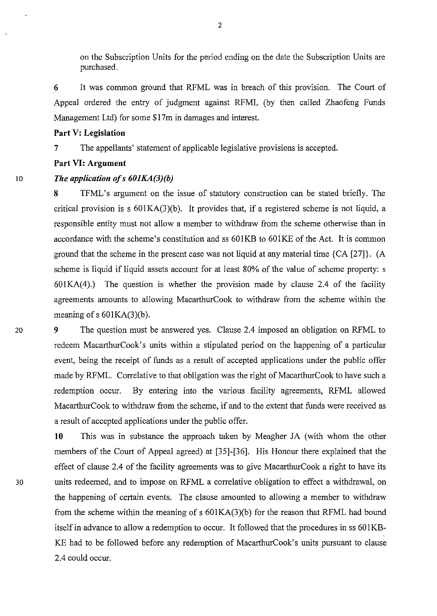on the Subscription Units for the period ending on the date the Subscription Units are purchased.

**6** It was common ground that RFML was in breach of this provision. The Court of Appeal ordered the entry of judgment against RFML (by then called Zhaofeng Funds Management Ltd) for some \$17m in damages and interest.

### **Part V: Legislation**

**7** The appellants' statement of applicable legislative provisions is accepted.

#### **Part VI: Argument**

## 10 *The application ofs 601KA(3)(b)*

**8** TFML's argument on the issue of statutory construction can be stated briefly. The critical provision is s 601KA(3)(b). It provides that, if a registered scheme is not liquid, a responsible entity must not allow a member to withdraw from the scheme otherwise than in accordance with the scheme's constitution and ss 601KB to 601KE of the Act. It is common ground that the scheme in the present case was not liquid at any material time {CA [27]}. (A scheme is liquid if liquid assets account for at least 80% of the value of scheme property: s  $601KA(4)$ .) The question is whether the provision made by clause 2.4 of the facility agreements amounts to allowing MacarthurCook to withdraw from the scheme within the meaning of  $s$  601KA(3)(b).

20 **9** The question must be answered yes. Clause 2.4 imposed an obligation on RFML to redeem MacarthurCook's units within a stipulated period on the happening of a particular event, being the receipt of funds as a result of accepted applications under the public offer made by RFML. Correlative to that obligation was the right of MacarthurCook to have such a redemption occur. By entering into the various facility agreements, RFML allowed MacarthurCook to withdraw from the scheme, if and to the extent that funds were received as a result of accepted applications under the public offer.

**10** This was in substance the approach taken by Meagher JA (with whom the other members of the Court of Appeal agreed) at [35]-[36]. His Honour there explained that the effect of clause 2.4 of the facility agreements was to give MacarthurCook a right to have its 30 units redeemed, and to impose on RFML a correlative obligation to effect a withdrawal, on the happening of certain events. The clause amounted to allowing a member to withdraw from the scheme within the meaning of s 601KA(3)(b) for the reason that RFML had bound itself in advance to allow a redemption to occur. It followed that the procedures in ss 601KB-KE had to be followed before any redemption of MacarthurCook's units pursuant to clause 2.4 could occur.

2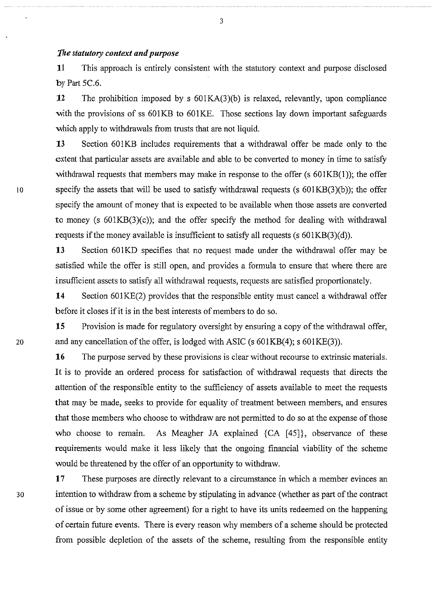# *1'!1e statutory context and purpose*

**11** This approach is entirely consistent with the statutory context and purpose disclosed by Part 5C.6.

**12** The prohibition imposed by s 601KA(3)(b) is relaxed, relevantly, upon compliance with the provisions of ss 601KB to 601KE. Those sections lay down important safeguards which apply to withdrawals from trusts that are not liquid.

**13** Section 601KB includes requirements that a withdrawal offer be made only to the extent that particular assets are available and able to be converted to money in time to satisfy withdrawal requests that members may make in response to the offer (s  $601KB(1)$ ); the offer 10 specify the assets that will be used to satisfy withdrawal requests (s  $601KB(3)(b)$ ); the offer specify the amount of money that is expected to be available when those assets are converted to money (s  $601KB(3)(c)$ ); and the offer specify the method for dealing with withdrawal requests if the money available is insufficient to satisfy all requests (s 601KB(3)(d)).

> 13 Section 601KD specifies that no request made under the withdrawal offer may be satisfied while the offer is still open, and provides a formula to ensure that where there are insufficient assets to satisfy all withdrawal requests, requests are satisfied proportionately.

> **14** Section 601KE(2) provides that the responsible entity must cancel a withdrawal offer before it closes if it is in the best interests of members to do so.

**15** Provision is made for regulatory oversight by ensuring a copy of the withdrawal offer, 20 and any cancellation of the offer, is lodged with ASIC (s 601KB(4); s 601KE(3)).

> **16** The purpose served by these provisions is clear without recourse to extrinsic materials. It is to provide an ordered process for satisfaction of withdrawal requests that directs the attention of the responsible entity to the sufficiency of assets available to meet the requests that may be made, seeks to provide for equality of treatment between members, and ensures that those members who choose to withdraw are not permitted to do so at the expense of those who choose to remain. As Meagher JA explained {CA [45]}, observance of these requirements would make it less likely that the ongoing financial viability of the scheme would be threatened by the offer of an opportunity to withdraw.

**17** These purposes are directly relevant to a circumstance in which a member evinces an 30 intention to withdraw from a scheme by stipulating in advance (whether as part of the contract of issue or by some other agreement) for a right to have its units redeemed on the happening of certain future events. There is every reason why members of a scheme should be protected from possible depletion of the assets of the scheme, resulting from the responsible entity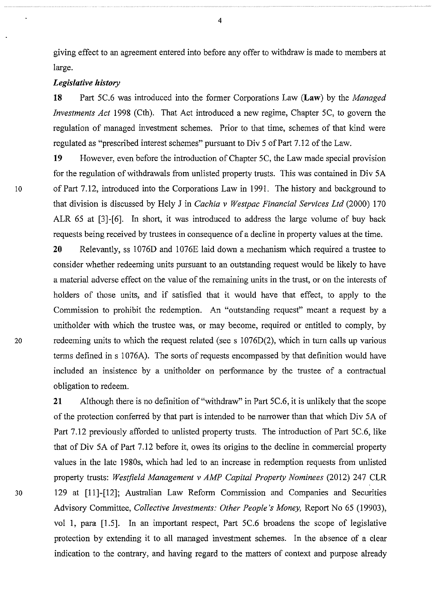giving effect to an agreement entered into before any offer to withdraw is made to members at large.

### *Legislative history*

**18** Patt SC.6 was introduced into the former Corporations Law **(Law)** by the *Managed Investments Act* 1998 (Cth). That Act introduced a new regime, Chapter SC, to govern the regulation of managed investment schemes. Prior to that time, schemes of that kind were regulated as "prescribed interest schemes" pursuant to Div 5 of Part 7.12 of the Law.

**19** However, even before the introduction of Chapter SC, the Law made special provision for the regulation of withdrawals from unlisted property trusts. This was contained in Div SA 10 of Part 7.12, introduced into the Corporations Law in I 991. The history and background to that division is discussed by Hely J in *Cachia v Westpac Financial Services Ltd* (2000) I 70 ALR 6S at [3]-[6]. In short, it was introduced to address the large volume of buy back requests being received by trustees in consequence of a decline in property values at the time.

**20** Relevantly, ss 1076D and 1076E laid down a mechanism which required a trustee to consider whether redeeming units pursuant to an outstanding request would be likely to have a material adverse effect on the value of the remaining units in the trust, or on the interests of holders of those units, and if satisfied that it would have that effect, to apply to the Commission to prohibit the redemption. An "outstanding request" meant a request by a unitholder with which the trustee was, or may become, required or entitled to comply, by 20 redeeming units to which the request related (sees 1076D(2), which in tum calls up various terms defined in s 1076A). The sorts of requests encompassed by that definition would have included an insistence by a unitholder on performance by the trustee of a contractual obligation to redeem.

**21** Although there is no definition of "withdraw" in Patt SC.6, it is unlikely that the scope of the protection conferred by that part is intended to be narrower than that which Div SA of Patt 7.12 previously afforded to unlisted property trusts. The introduction of Part SC.6, like that of Div SA of Patt 7.12 before it, owes its origins to the decline in commercial property values in the late 1980s, which had led to an increase in redemption requests from unlisted property trusts: *Westfield Management vAMP Capital Property Nominees* (2012) 247 CLR 30 129 at [11]-[12]; Australian Law Reform Commission and Companies and Securities Advisory Committee, *Collective Investments: Other People's Money,* Report No 6S (19903), vol 1, para [1.5]. In an important respect, Part 5C.6 broadens the scope of legislative protection by extending it to all managed investment schemes. In the absence of a clear indication to the contrary, and having regard to the matters of context and purpose already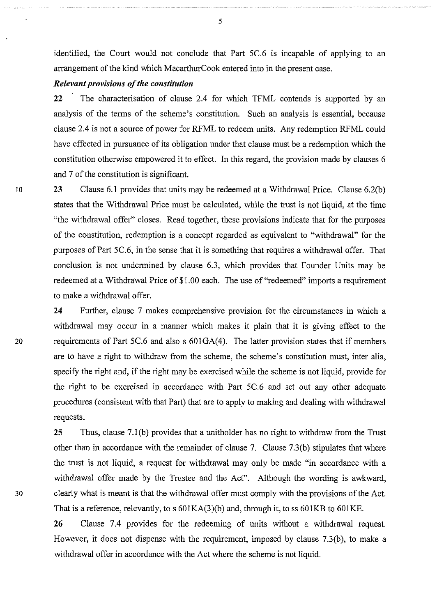identified, the Court would not conclude that Part 5C.6 is incapable of applying to an arrangement of the kind which MacarthurCook entered into in the present case.

### *Relevant provisions of the constitution*

**22** The characterisation of clause 2.4 for which TFML contends is supported by an analysis of the terms of the scheme's constitution. Such an analysis is essential, because clause 2.4 is not a source of power for RFML to redeem units. Any redemption RFML could have effected in pursuance of its obligation under that clause must be a redemption which the constitution otherwise empowered it to effect. In this regard, the provision made by clauses 6 and 7 of the constitution is significant.

10 **23** Clause 6.1 provides that units may be redeemed at a Withdrawal Price. Clause 6.2(b) states that the Withdrawal Price must be calculated, while the trust is not liquid, at the time "the withdrawal offer" closes. Read together, these provisions indicate that for the purposes of the constitution, redemption is a concept regarded as equivalent to "withdrawal" for the purposes of Part 5C.6, in the sense that it is something that requires a withdrawal offer. That conclusion is not undermined by clause 6.3, which provides that Founder Units may be redeemed at a Withdrawal Price of \$1.00 each. The use of "redeemed" imports a requirement to make a withdrawal offer.

**24** Further, clause 7 makes comprehensive provision for the circumstances in which a withdrawal may occur in a manner which makes it plain that it is giving effect to the 20 requirements of Part 5C.6 and also s 601GA(4). The latter provision states that if members are to have a right to withdraw from the scheme, the scheme's constitution must, inter alia, specify the right and, if the right may be exercised while the scheme is not liquid, provide for the right to be exercised in accordance with Part 5C.6 and set out any other adequate procedures (consistent with that Part) that are to apply to making and dealing with withdrawal requests.

**25** Thus, clause 7.1(b) provides that a unitholder has no right to withdraw from the Trust other than in accordance with the remainder of clause 7. Clause 7.3(b) stipulates that where the trust is not liquid, a request for withdrawal may only be made "in accordance with a withdrawal offer made by the Trustee and the Act". Although the wording is awkward, 30 clearly what is meant is that the withdrawal offer must comply with the provisions of the Act. That is a reference, relevantly, to  $s$  601KA(3)(b) and, through it, to  $ss$  601KB to 601KE.

> **26** Clause 7.4 provides for the redeeming of units without a withdrawal request. However, it does not dispense with the requirement, imposed by clause 7.3(b), to make a withdrawal offer in accordance with the Act where the scheme is not liquid.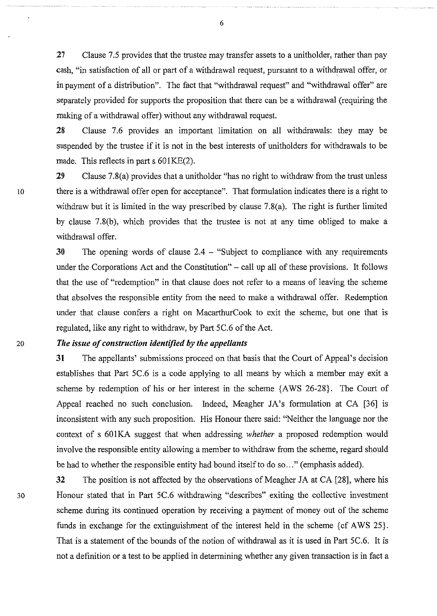**27** Clause 7.5 provides that the trustee may transfer assets to a unitholder, rather than pay cash, "in satisfaction of all or part of a withdrawal request, pursuant to a withdrawal offer, or in payment of a distribution". The fact that "withdrawal request" and "withdrawal offer" are separately provided for supports the proposition that there can be a withdrawal (requiring the making of a withdrawal offer) without any withdrawal request.

**28** Clause 7.6 provides an important limitation on all withdrawals: they may be suspended by the trustee if it is not in the best interests of unitholders for withdrawals to be made. This reflects in part  $s$  601KE(2).

**29** Clause 7.8(a) provides that a unitholder "has no right to withdraw from the trust unless 10 there is a withdrawal offer open for acceptance". That formulation indicates there is a right to withdraw but it is limited in the way prescribed by clause 7.8(a). The right is further limited by clause 7.8(b), which provides that the trustee is not at any time obliged to make a withdrawal offer.

> **30** The opening words of clause 2.4 - "Subject to compliance with any requirements under the Corporations Act and the Constitution" – call up all of these provisions. It follows that the use of "redemption" in that clause does not refer to a means of leaving the scheme that absolves the responsible entity from the need to make a withdrawal offer. Redemption under that clause confers a right on MacarthurCook to exit the scheme, but one that is regulated, like any right to withdraw, by Part 5C.6 of the Act.

## 20 *The issue of construction identified by the appellants*

**31** The appellants' submissions proceed on that basis that the Court of Appeal's decision establishes that Part 5C.6 is a code applying to all means by which a member may exit a scheme by redemption of his or her interest in the scheme {AWS 26-28}. The Court of Appeal reached no such conclusion. Indeed, Meagher JA's formulation at CA [36] is inconsistent with any such proposition. His Honour there said: "Neither the language nor the context of s 601KA suggest that when addressing *whether* a proposed redemption would involve the responsible entity allowing a member to withdraw from the scheme, regard should be had to whether the responsible entity had bound itself to do so..." (emphasis added).

**32** The position is not affected by the observations of Meagher JA at CA [28], where his 30 Honour stated that in Part 5C.6 withdrawing "describes" exiting the collective investment scheme during its continued operation by receiving a payment of money out of the scheme funds in exchange for the extinguishment of the interest held in the scheme { cf AWS 25}. That is a statement of the bounds of the notion of withdrawal as it is used in Part 5C.6. It is not a definition or a test to be applied in determining whether any given transaction is in fact a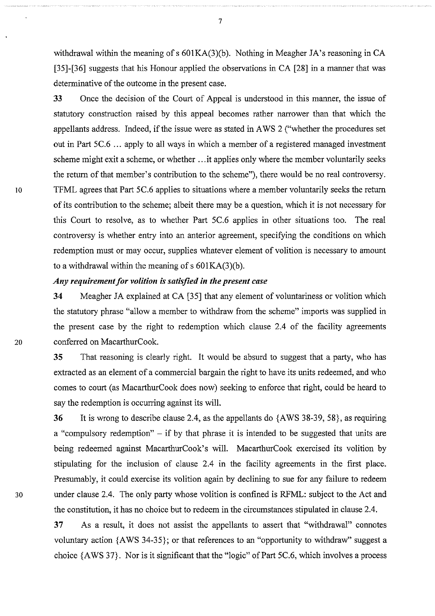withdrawal within the meaning of  $s$  601KA(3)(b). Nothing in Meagher JA's reasoning in CA [35]-[36] suggests that his Honour applied the observations in CA [28] in a manner that was determinative of the outcome in the present case.

33 Once the decision of the Court of Appeal is understood in this manner, the issue of statutory construction raised by this appeal becomes rather narrower than that which the appellants address. Indeed, if the issue were as stated in A WS 2 ("whether the procedures set out in Part 5C.6 ... apply to all ways in which a member of a registered managed investment scheme might exit a scheme, or whether ... it applies only where the member voluntarily seeks the return of that member's contribution to the scheme"), there would be no real controversy. 10 TFML agrees that Part 5C.6 applies to situations where a member voluntarily seeks the return of its contribution to the scheme; albeit there may be a question, which it is not necessary for this Court to resolve, as to whether Part 5C.6 applies in other situations too. The real controversy is whether entry into an anterior agreement, specifying the conditions on which redemption must or may occur, supplies whatever element of volition is necessary to amount to a withdrawal within the meaning of  $s$  601KA(3)(b).

# *Any requirement for volition is satisfied* in *the present case*

34 Meagher JA explained at CA [35] that any element of voluntariness or volition which the statutory phrase "allow a member to withdraw from the scheme" imports was supplied in the present case by the right to redemption which clause 2.4 of the facility agreements 20 conferred on MacarthurCook.

> 35 That reasoning is clearly right. It would be absurd to suggest that a party, who has extracted as an element of a commercial bargain the right to have its units redeemed, and who comes to court (as MacarthurCook does now) seeking to enforce that right, could be heard to say the redemption is occurring against its will.

36 It is wrong to describe clause 2.4, as the appellants do {AWS 38-39, 58}, as requiring a "compulsory redemption" - if by that phrase it is intended to be suggested that units are being redeemed against MacarthurCook's will. MacarthurCook exercised its volition by stipulating for the inclusion of clause 2.4 in the facility agreements in the first place. Presumably, it could exercise its volition again by declining to sue for any failure to redeem 30 under clause 2.4. The only party whose volition is confined is RFML: subject to the Act and the constitution, it has no choice but to redeem in the circumstances stipulated in clause 2.4.

> 37 As a result, it does not assist the appellants to assert that "withdrawal" connotes voluntary action {AWS 34-35}; or that references to an "opportunity to withdraw" suggest a choice {AWS 37}. Nor is it significant that the "logic" of Part 5C.6, which involves a process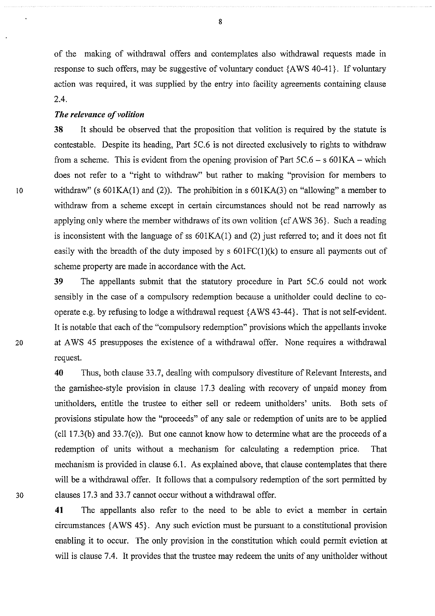of the making of withdrawal offers and contemplates also withdrawal requests made in response to such offers, may be suggestive of voluntary conduct {A WS 40-41}. If voluntary action was required, it was supplied by the entry into facility agreements containing clause 2.4.

## *The relevance of volition*

**38** It should be observed that the proposition that volition is required by the statute is contestable. Despite its heading, Part 5C.6 is not directed exclusively to rights to withdraw from a scheme. This is evident from the opening provision of Part  $5C.6 - s.601KA -$  which does not refer to a "right to withdraw" but rather to making "provision for members to 10 withdraw" (s 601KA(1) and (2)). The prohibition in s 601KA(3) on "allowing" a member to withdraw from a scheme except in certain circumstances should not be read narrowly as applying only where the member withdraws of its own volition { cf A WS 36}. Such a reading is inconsistent with the language of ss 601KA(l) and (2) just referred to; and it does not fit easily with the breadth of the duty imposed by  $s$  601FC(1)(k) to ensure all payments out of scheme property are made in accordance with the Act.

**39** The appellants submit that the statutory procedure in Part 5C.6 could not work sensibly in the case of a compulsory redemption because a unitholder could decline to cooperate e.g. by refusing to lodge a withdrawal request {AWS 43-44}. That is not self-evident. It is notable that each of the "compulsory redemption" provisions which the appellants invoke 20 at A WS 45 presupposes the existence of a withdrawal offer. None requires a withdrawal request.

**40** Thus, both clause 33.7, dealing with compulsory divestiture of Relevant Interests, and the garnishee-style provision in clause 17.3 dealing with recovery of unpaid money from unitholders, entitle the trustee to either sell or redeem unitholders' units. Both sets of provisions stipulate how the "proceeds" of any sale or redemption of units are to be applied (ell 17.3(b) and 33.7(c)). But one cannot know how to determine what are the proceeds of a redemption of units without a mechanism for calculating a redemption price. That mechanism is provided in clause 6.1. As explained above, that clause contemplates that there will be a withdrawal offer. It follows that a compulsory redemption of the sort permitted by 30 clauses 17.3 and 33.7 cannot occur without a withdrawal offer.

> **41** The appellants also refer to the need to be able to evict a member in certain circumstances {AWS 45}. Any such eviction must be pursuant to a constitutional provision enabling it to occur. The only provision in the constitution which could permit eviction at will is clause 7.4. It provides that the trustee may redeem the units of any unitholder without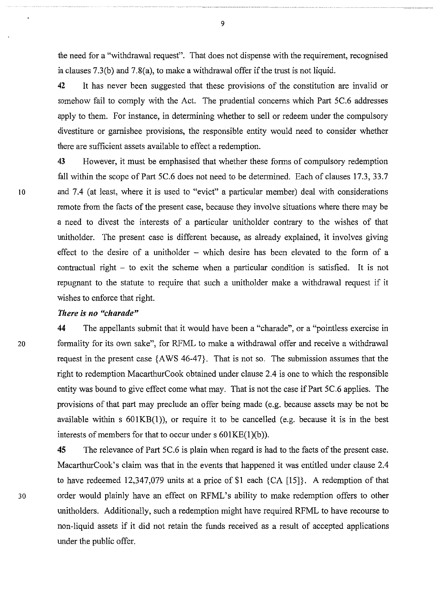the need for a "withdrawal request". That does not dispense with the requirement, recognised in clauses 7.3(b) and 7.8(a), to make a withdrawal offer if the trust is not liquid.

42 It has never been suggested that these provisions of the constitution are invalid or somehow fail to comply with the Act. The prudential concerns which Part 5C.6 addresses apply to them. For instance, in determining whether to sell or redeem under the compulsory divestiture or garnishee provisions, the responsible entity would need to consider whether there are sufficient assets available to effect a redemption.

43 However, it must be emphasised that whether these forms of compulsory redemption fall within the scope of Part 5C.6 does not need to be determined. Each of clauses 17.3, 33.7 10 and 7.4 (at least, where it is used to "evict" a particular member) deal with considerations remote from the facts of the present case, because they involve situations where there may be a need to divest the interests of a particular unitholder contrary to the wishes of that unitholder. The present case is different because, as already explained, it involves giving effect to the desire of a unitholder - which desire has been elevated to the form of a contractual right - to exit the scheme when a particular condition is satisfied. It is not repugnant to the statute to require that such a unitholder make a withdrawal request if it wishes to enforce that right.

#### *There is no "charade"*

44 The appellants submit that it would have been a "charade", or a "pointless exercise in 20 formality for its own sake", for RFML to make a withdrawal offer and receive a withdrawal request in the present case {AWS 46-47}. That is not so. The submission assumes that the right to redemption MacarthurCook obtained under clause 2.4 is one to which the responsible entity was bound to give effect come what may. That is not the case if Part 5C.6 applies. The provisions of that part may preclude an offer being made (e.g. because assets may be not be available within s 601KB(l)), or require it to be cancelled (e.g. because it is in the best interests of members for that to occur under  $s$  601KE(1)(b)).

45 The relevance of Part 5C.6 is plain when regard is had to the facts of the present case. MacarthurCook's claim was that in the events that happened it was entitled under clause 2.4 to have redeemed 12,347,079 units at a price of \$1 each {CA [15]}. A redemption of that 30 order would plainly have an effect on RFML's ability to make redemption offers to other unitholders. Additionally, such a redemption might have required RFML to have recourse to non-liquid assets if it did not retain the funds received as a result of accepted applications under the public offer.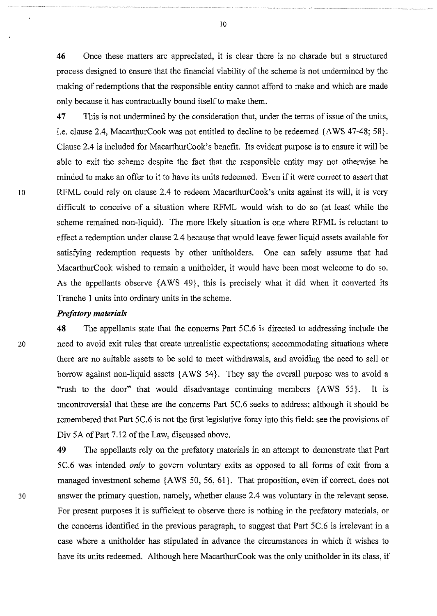**46** Once these matters are appreciated, it is clear there is no charade but a structured process designed to ensure that the financial viability of the scheme is not undermined by the making of redemptions that the responsible entity cannot afford to make and which are made only because it has contractually bound itself to make them.

**47** This is not undermined by the consideration that, under the terms of issue of the units, i.e. clause 2.4, MacarthurCook was not entitled to decline to be redeemed {AWS 47-48; 58}. Clause 2.4 is included for MacarthurCook's benefit. Its evident purpose is to ensure it will be able to exit the scheme despite the fact that the responsible entity may not otherwise be minded to make an offer to it to have its units redeemed. Even if it were correct to assert that 10 RFML could rely on clause 2.4 to redeem MacarthurCook's units against its will, it is very difficult to conceive of a situation where RFML would wish to do so (at least while the scheme remained non-liquid). The more likely situation is one where RFML is reluctant to effect a redemption under clause 2.4 because that would leave fewer liquid assets available for satisfying redemption requests by other unitholders. One can safely assume that had MacarthurCook wished to remain a unitholder, it would have been most welcome to do so. As the appellants observe {A WS 49}, this is precisely what it did when it converted its Tranche 1 units into ordinary units in the scheme.

#### *Prefatory materials*

**48** The appellants state that the concerns Part 5C.6 is directed to addressing include the 20 need to avoid exit rules that create unrealistic expectations; accommodating situations where there are no suitable assets to be sold to meet withdrawals, and avoiding the need to sell or borrow against non-liquid assets {A WS 54}. They say the overall purpose was to avoid a "rush to the door" that would disadvantage continuing members {AWS 55}. It is uncontroversial that these are the concerns Part 5C.6 seeks to address; although it should be remembered that Part 5C.6 is not the first legislative foray into this field: see the provisions of Div SA of Part 7.12 of the Law, discussed above.

**49** The appellants rely on the prefatory materials in an attempt to demonstrate that Part 5C.6 was intended *only* to govern voluntary exits as opposed to all forms of exit from a managed investment scheme {AWS 50, 56, 61}. That proposition, even if correct, does not 30 answer the primary question, namely, whether clause 2.4 was voluntary in the relevant sense. For present purposes it is sufficient to observe there is nothing in the prefatory materials, or the concerns identified in the previous paragraph, to suggest that Part 5C.6 is irrelevant in a case where a unitholder has stipulated in advance the circumstances in which it wishes to have its units redeemed. Although here MacarthurCook was the only unitholder in its class, if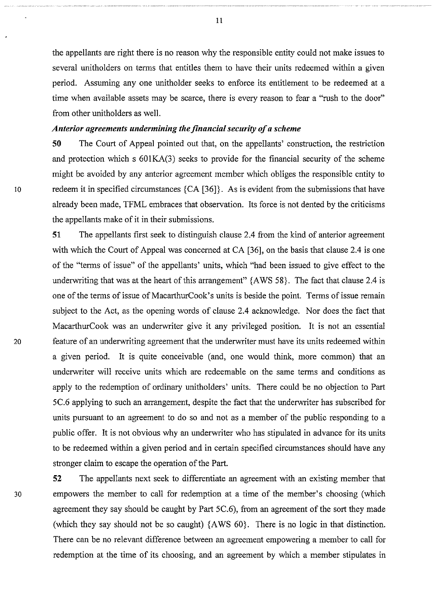the appellants are right there is no reason why the responsible entity could not make issues to several unitholders on terms that entitles them to have their units redeemed within a given period. Assuming any one unitholder seeks to enforce its entitlement to be redeemed at a time when available assets may be scarce, there is every reason to fear a "rush to the door" from other unitholders as well.

## *Anterior agreements undermining the financial security of a scheme*

**50** The Court of Appeal pointed out that, on the appellants' construction, the restriction and protection which s 601KA(3) seeks to provide for the financial security of the scheme might be avoided by any anterior agreement member which obliges the responsible entity to 10 redeem it in specified circumstances {CA [36]}. As is evident from the submissions that have already been made, TFML embraces that observation. Its force is not dented by the criticisms the appellants make of it in their submissions.

**51** The appellants first seek to distinguish clause 2.4 from the kind of anterior agreement with which the Court of Appeal was concerned at CA [36], on the basis that clause 2.4 is one of the "terms of issue" of the appellants' units, which "had been issued to give effect to the underwriting that was at the heart of this arrangement" {AWS 58}. The fact that clause 2.4 is one of the terms of issue of MacarthurCook's units is beside the point. Terms of issue remain subject to the Act, as the opening words of clause 2.4 acknowledge. Nor does the fact that MacarthurCook was an underwriter give it any privileged position. It is not an essential 20 feature of an underwriting agreement that the underwriter must have its units redeemed within a given period. It is quite conceivable (and, one would think, more common) that an underwriter will receive units which are redeemable on the same terms and conditions as apply to the redemption of ordinary unitholders' units. There could be no objection to Part 5C.6 applying to such an arrangement, despite the fact that the underwriter has subscribed for units pursuant to an agreement to do so and not as a member of the public responding to a public offer. It is not obvious why an underwriter who has stipulated in advance for its units to be redeemed within a given period and in certain specified circumstances should have any stronger claim to escape the operation of the Part.

**52** The appellants next seek to differentiate an agreement with an existing member that 30 empowers the member to call for redemption at a time of the member's choosing (which agreement they say should be caught by Part 5C.6), from an agreement of the sort they made (which they say should not be so caught) {AWS 60}. There is no logic in that distinction. There can be no relevant difference between an agreement empowering a member to call for redemption at the time of its choosing, and an agreement by which a member stipulates in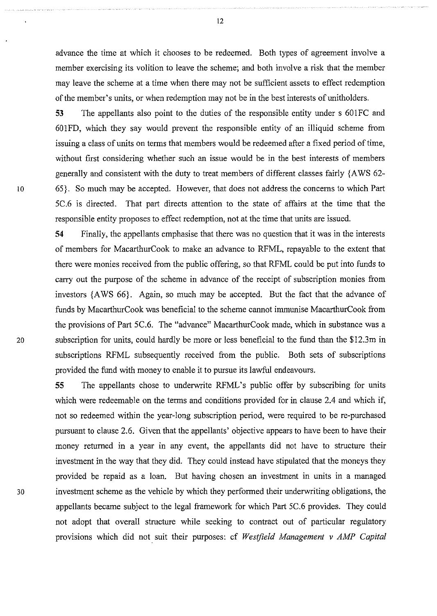advance the time at which it chooses to be redeemed. Both types of agreement involve a member exercising its volition to leave the scheme; and both involve a risk that the member may leave the scheme at a time when there may not be sufficient assets to effect redemption of the member's units, or when redemption may not be in the best interests of unitholders.

53 The appellants also point to the duties of the responsible entity under s 601FC and 601FD, which they say would prevent the responsible entity of an illiquid scheme from issuing a class of units on terms that members would be redeemed after a fixed period of time, without first considering whether such an issue would be in the best interests of members generally and consistent with the duty to treat members of different classes fairly {A WS 62- 10 65}. So much may be accepted. However, that does not address the concerns to which Part 5C.6 is directed. That part directs attention to the state of affairs at the time that the responsible entity proposes to effect redemption, not at the time that units are issued.

54 Finally, the appellants emphasise that there was no question that it was in the interests of members for MacarthurCook to make an advance to RFML, repayable to the extent that there were monies received from the public offering, so that RFML could be put into funds to carry out the purpose of the scheme in advance of the receipt of subscription monies from investors {A WS 66}. Again, so much may be accepted. But the fact that the advance of funds by MacarthurCook was beneficial to the scheme cannot immunise MacarthurCook from the provisions of Part 5C.6. The "advance" MacarthurCook made, which in substance was a 20 subscription for units, could hardly be more or less beneficial to the fund than the \$12.3m in subscriptions RFML subsequently received from the public. Both sets of subscriptions provided the fund with money to enable it to pursue its lawful endeavours.

55 The appellants chose to underwrite RFML's public offer by subscribing for units which were redeemable on the terms and conditions provided for in clause 2.4 and which if, not so redeemed within the year-long subscription period, were required to be re-purchased pursuant to clause 2.6. Given that the appellants' objective appears to have been to have their money returned in a year in any event, the appellants did not have to structure their investment in the way that they did. They could instead have stipulated that the moneys they provided be repaid as a loan. But having chosen an investment in units in a managed 30 investment scheme as the vehicle by which they performed their underwriting obligations, the appellants became subject to the legal framework for which Part 5C.6 provides. They could not adopt that overall structure while seeking to contract out of particular regulatory provisions which did not suit their purposes: cf *Westfield Management v AMP Capital* 

12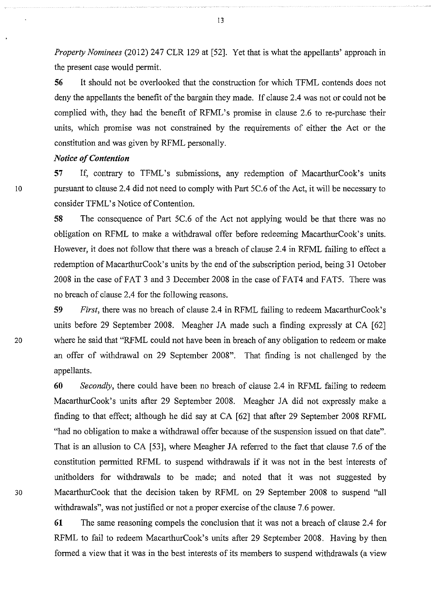*Property Nominees* (2012) 247 CLR 129 at [52]. Yet that is what the appellants' approach in the present case would permit.

**56** It should not be overlooked that the construction for which TFML contends does not deny the appellants the benefit of the bargain they made. If clause 2.4 was not or could not be complied with, they had the benefit of RFML's promise in clause 2.6 to re-purchase their units, which promise was not constrained by the requirements of either the Act or the constitution and was given by RFML personally.

## *Notice of Contention*

**57** If, contrary to TFML's submissions, any redemption of MacarthurCook's units 10 pursuant to clause 2.4 did not need to comply with Part 5C.6 of the Act, it will be necessary to consider TFML's Notice of Contention.

> **58** The consequence of Part 5C.6 of the Act not applying would be that there was no obligation on RFML to make a withdrawal offer before redeeming MacarthurCook's units. However, it does not follow that there was a breach of clause 2.4 in RFML failing to effect a redemption of MacarthurCook's units by the end of the subscription period, being 31 October 2008 in the case of FAT 3 and 3 December 2008 in the case of FAT4 and FAT5. There was no breach of clause 2.4 for the following reasons.

**59** *First,* there was no breach of clause 2.4 in RFML failing to redeem MacarthurCook's units before 29 September 2008. Meagher JA made such a finding expressly at CA [62] 20 where he said that "RFML could not have been in breach of any obligation to redeem or make an offer of withdrawal on 29 September 2008". That finding is not challenged by the appellants.

**60** *Secondly,* there could have been no breach of clause 2.4 in RFML failing to redeem MacarthurCook's units after 29 September 2008. Meagher JA did not expressly make a finding to that effect; although he did say at CA [62] that after 29 September 2008 RFML "had no obligation to make a withdrawal offer because of the suspension issued on that date". That is an allusion to CA [53], where Meagher JA referred to the fact that clause 7.6 of the constitution permitted RFML to suspend withdrawals if it was not in the best interests of unitholders for withdrawals to be made; and noted that it was not suggested by 30 MacarthurCook that the decision taken by RFML on 29 September 2008 to suspend "all withdrawals", was not justified or not a proper exercise of the clause 7.6 power.

> **61** The same reasoning compels the conclusion that it was not a breach of clause 2.4 for RFML to fail to redeem MacarthurCook's units after 29 September 2008. Having by then formed a view that it was in the best interests of its members to suspend withdrawals (a view

13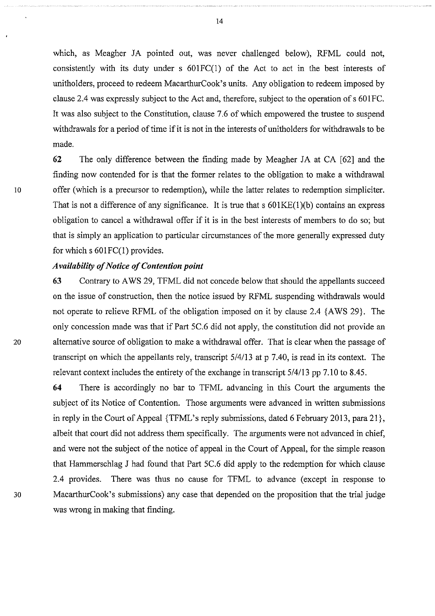which, as Meagher JA pointed out, was never challenged below), RFML could not, consistently with its duty under s 601FC(1) of the Act to act in the best interests of unitholders, proceed to redeem MacarthurCook's units. Any obligation to redeem imposed by clause 2.4 was expressly subject to the Act and, therefore, subject to the operation of s 601FC. It was also subject to the Constitution, clause 7.6 of which empowered the trustee to suspend withdrawals for a period of time if it is not in the interests of unitholders for withdrawals to be made.

**62** The only difference between the finding made by Meagher JA at CA [62] and the finding now contended for is that the former relates to the obligation to make a withdrawal 10 offer (which is a precursor to redemption), while the latter relates to redemption simpliciter. That is not a difference of any significance. It is true that  $s$  601KE(1)(b) contains an express obligation to cancel a withdrawal offer if it is in the best interests of members to do so; but that is simply an application to particular circumstances of the more generally expressed duty for which  $s$  601 FC(1) provides.

## *Availability of Notice of Contention point*

**63** Contrary to A WS 29, TFML did not concede below that should the appellants succeed on the issue of construction, then the notice issued by RFML suspending withdrawals would not operate to relieve RFML of the obligation imposed on it by clause 2.4 {AWS 29}. The only concession made was that if Part 5C.6 did not apply, the constitution did not provide an 20 alternative source of obligation to make a withdrawal offer. That is clear when the passage of transcript on which the appellants rely, transcript 5/4/13 at p 7.40, is read in its context. The relevant context includes the entirety of the exchange in transcript 5/4113 pp 7.10 to 8.45.

**64** There is accordingly no bar to TFML advancing in this Court the arguments the subject of its Notice of Contention. Those arguments were advanced in written submissions in reply in the Court of Appeal {TFML's reply submissions, dated 6 February 2013, para 21}, albeit that court did not address them specifically. The arguments were not advanced in chief, and were not the subject of the notice of appeal in the Court of Appeal, for the simple reason that Hammerschlag J had found that Part 5C.6 did apply to the redemption for which clause 2.4 provides. There was thus no cause for TFML to advance (except in response to 30 MacarthurCook's submissions) any case that depended on the proposition that the trial judge was wrong in making that finding.